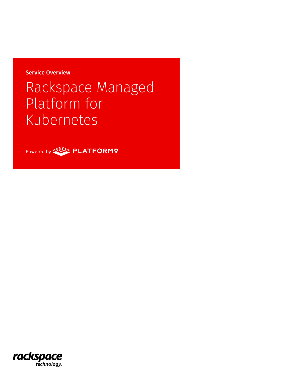Service Overview

# Rackspace Managed Platform for Kubernetes



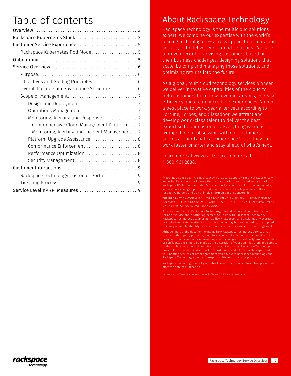## Table of contents

| Rackspace Kubernetes Stack 3                   |
|------------------------------------------------|
| Customer Service Experience  5                 |
| Rackspace Kubernetes Pod Model 5               |
|                                                |
|                                                |
|                                                |
| Objectives and Guiding Principles  6           |
| Overall Partnership Governance Structure  6    |
|                                                |
|                                                |
|                                                |
| Monitoring, Alerting and Response 7            |
| Comprehensive Cloud Management Platform 7      |
| Monitoring, Alerting and Incident Management 7 |
| Platform Upgrade Assistance 8                  |
| Conformance Enforcement  8                     |
|                                                |
| Security Management 8                          |
|                                                |
| Rackspace Technology Customer Portal 9         |
|                                                |
| Service Level KPI/PI Measures  9               |

### About Rackspace Technology

Rackspace Technology is the multicloud solutions expert. We combine our expertise with the world's leading technologies — across applications, data and security — to deliver end-to-end solutions. We have a proven record of advising customers based on their business challenges, designing solutions that scale, building and managing those solutions, and optimizing returns into the future.

As a global, multicloud technology services pioneer, we deliver innovative capabilities of the cloud to help customers build new revenue streams, increase efficiency and create incredible experiences. Named a best place to work, year after year according to Fortune, Forbes, and Glassdoor, we attract and develop world-class talent to deliver the best expertise to our customers. Everything we do is wrapped in our obsession with our customers' success — our Fanatical Experience<sup> $m$ </sup> — so they can work faster, smarter and stay ahead of what's next.

Learn more at www.rackspace.com or call 1-800-961-2888.

© 2021 Rackspace US, Inc. :: Rackspace®, Fanatical Support®, Fanatical Experience™ and other Rackspace marks are either service marks or registered service marks of Rackspace US, Inc . in the United States and other countries . All other trademarks, service marks, images, products and brands remain the sole property of their respective holders and do not imply endorsement or sponsorship

THE INFORMATION CONTAINED IN THIS DOCUMENT IS A GENERAL INTRODUCTION TO RACKSPACE TECHNOLOGY SERVICES AND DOES NOT INCLUDE ANY LEGAL COMMITMENT ON THE PART OF RACKSPACE TECHNOLOGY.

Except as set forth in Rackspace Technology general terms and conditions, cloud terms of service and/or other agreement you sign with Rackspace Technology, Rackspace Technology assumes no liability whatsoever, and disclaims any express or implied warranty, relating to its services including, but not limited to, the implied warranty of merchantability, fitness for a particular purpose, and noninfringement.

Although part of the document explains how Rackspace Technology services may work with third party products, the information contained in the document is not designed to work with all scenarios. any use or changes to third party products and/ or configurations should be made at the discretion of your administrators and subject to the applicable terms and conditions of such third party. Rackspace Technology does not provide technical support for third party products, other than specified in our hosting services or other agreement you have with Rackspace Technology and Rackspace Technology accepts no responsibility for third-party products.

Rackspace Technology cannot guarantee the accuracy of any information presented after the date of publication.

Rackspace-Service-Overview-Kubernetes-Powered-by-Platform9-PUB-TSK-4694 :: April 28, 2021

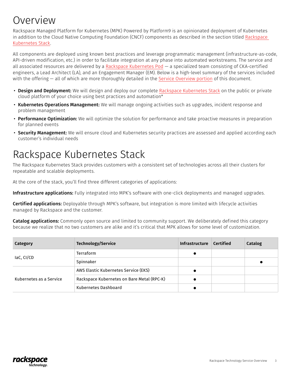## <span id="page-2-0"></span>Overview

Rackspace Managed Platform for Kubernetes (MPK) Powered by Platform9 is an opinionated deployment of Kubernetes in addition to the Cloud Native Computing Foundation (CNCF) components as described in the section titled Rackspace Kubernetes Stack.

All components are deployed using known best practices and leverage programmatic management (infrastructure-as-code, API-driven modification, etc.) in order to facilitate integration at any phase into automated workstreams. The service and all associated resources are delivered by a [Rackspace Kubernetes Pod](#page-4-0) — a specialized team consisting of CKA-certified engineers, a Lead Architect (LA), and an Engagement Manager (EM). Below is a high-level summary of the services included with the offering — all of which are more thoroughly detailed in the [Service Overview portion](#page-5-0) of this document.

- Design and Deployment: We will design and deploy our complete Rackspace Kubernetes Stack on the public or private cloud platform of your choice using best practices and automation\*
- Kubernetes Operations Management: We will manage ongoing activities such as upgrades, incident response and problem management
- Performance Optimization: We will optimize the solution for performance and take proactive measures in preparation for planned events
- Security Management: We will ensure cloud and Kubernetes security practices are assessed and applied according each customer's individual needs

## Rackspace Kubernetes Stack

The Rackspace Kubernetes Stack provides customers with a consistent set of technologies across all their clusters for repeatable and scalable deployments.

At the core of the stack, you'll find three different categories of applications:

Infrastructure applications: Fully integrated into MPK's software with one-click deployments and managed upgrades.

Certified applications: Deployable through MPK's software, but integration is more limited with lifecycle activities managed by Rackspace and the customer.

Catalog applications: Commonly open source and limited to community support. We deliberately defined this category because we realize that no two customers are alike and it's critical that MPK allows for some level of customization.

| <b>Category</b>         | <b>Technology/Service</b>                  | <b>Infrastructure</b> | <b>Certified</b> | Catalog |
|-------------------------|--------------------------------------------|-----------------------|------------------|---------|
| laC, CI/CD              | Terraform                                  |                       |                  |         |
|                         | Spinnaker                                  |                       |                  |         |
| Kubernetes as a Service | AWS Elastic Kubernetes Service (EKS)       |                       |                  |         |
|                         | Rackspace Kubernetes on Bare Metal (RPC-K) |                       |                  |         |
|                         | Kubernetes Dashboard                       |                       |                  |         |

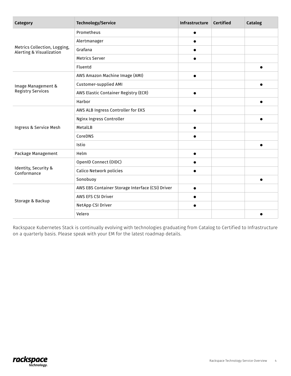| Category                                                            | <b>Technology/Service</b>                        | Infrastructure | <b>Certified</b> | Catalog |
|---------------------------------------------------------------------|--------------------------------------------------|----------------|------------------|---------|
| Metrics Collection, Logging,<br><b>Alerting &amp; Visualization</b> | Prometheus                                       |                |                  |         |
|                                                                     | Alertmanager                                     |                |                  |         |
|                                                                     | Grafana                                          |                |                  |         |
|                                                                     | <b>Metrics Server</b>                            |                |                  |         |
|                                                                     | Fluentd                                          |                |                  |         |
| Image Management &<br><b>Registry Services</b>                      | AWS Amazon Machine Image (AMI)                   |                |                  |         |
|                                                                     | Customer-supplied AMI                            |                |                  |         |
|                                                                     | AWS Elastic Container Registry (ECR)             |                |                  |         |
|                                                                     | Harbor                                           |                |                  |         |
|                                                                     | AWS ALB Ingress Controller for EKS               |                |                  |         |
| Ingress & Service Mesh                                              | Nginx Ingress Controller                         |                |                  |         |
|                                                                     | MetalLB                                          |                |                  |         |
|                                                                     | CoreDNS                                          |                |                  |         |
|                                                                     | Istio                                            |                |                  |         |
| Package Management                                                  | Helm                                             |                |                  |         |
| Identity, Security &<br>Conformance                                 | OpenID Connect (OIDC)                            |                |                  |         |
|                                                                     | <b>Calico Network policies</b>                   |                |                  |         |
|                                                                     | Sonobuoy                                         |                |                  |         |
| Storage & Backup                                                    | AWS EBS Container Storage Interface (CSI) Driver |                |                  |         |
|                                                                     | AWS EFS CSI Driver                               |                |                  |         |
|                                                                     | NetApp CSI Driver                                |                |                  |         |
|                                                                     | Velero                                           |                |                  |         |

Rackspace Kubernetes Stack is continually evolving with technologies graduating from Catalog to Certified to Infrastructure on a quarterly basis. Please speak with your EM for the latest roadmap details.

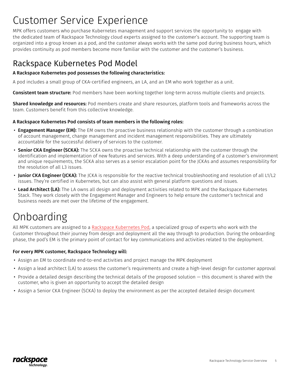## <span id="page-4-0"></span>Customer Service Experience

MPK offers customers who purchase Kubernetes management and support services the opportunity to engage with the dedicated team of Rackspace Technology cloud experts assigned to the customer's account. The supporting team is organized into a group known as a pod, and the customer always works with the same pod during business hours, which provides continuity as pod members become more familiar with the customer and the customer's business.

### Rackspace Kubernetes Pod Model

#### A Rackspace Kubernetes pod possesses the following characteristics:

A pod includes a small group of CKA-certified engineers, an LA, and an EM who work together as a unit.

**Consistent team structure:** Pod members have been working together long-term across multiple clients and projects.

Shared knowledge and resources: Pod members create and share resources, platform tools and frameworks across the team. Customers benefit from this collective knowledge.

#### A Rackspace Kubernetes Pod consists of team members in the following roles:

- Engagement Manager (EM): The EM owns the proactive business relationship with the customer through a combination of account management, change management and incident management responsibilities. They are ultimately accountable for the successful delivery of services to the customer.
- Senior CKA Engineer (SCKA): The SCKA owns the proactive technical relationship with the customer through the identification and implementation of new features and services. With a deep understanding of a customer's environment and unique requirements, the SCKA also serves as a senior escalation point for the JCKAs and assumes responsibility for the resolution of all L3 issues.
- Junior CKA Engineer (JCKA): The JCKA is responsible for the reactive technical troubleshooting and resolution of all L1/L2 issues. They're certified in Kubernetes, but can also assist with general platform questions and issues.
- Lead Architect (LA): The LA owns all design and deployment activities related to MPK and the Rackspace Kubernetes Stack. They work closely with the Engagement Manager and Engineers to help ensure the customer's technical and business needs are met over the lifetime of the engagement.

## Onboarding

All MPK customers are assigned to a Rackspace Kubernetes Pod, a specialized group of experts who work with the Customer throughout their journey from design and deployment all the way through to production. During the onboarding phase, the pod's EM is the primary point of contact for key communications and activities related to the deployment.

#### For every MPK customer, Rackspace Technology will:

- Assign an EM to coordinate end-to-end activities and project manage the MPK deployment
- Assign a lead architect (LA) to assess the customer's requirements and create a high-level design for customer approval
- Provide a detailed design describing the technical details of the proposed solution this document is shared with the customer, who is given an opportunity to accept the detailed design
- Assign a Senior CKA Engineer (SCKA) to deploy the environment as per the accepted detailed design document

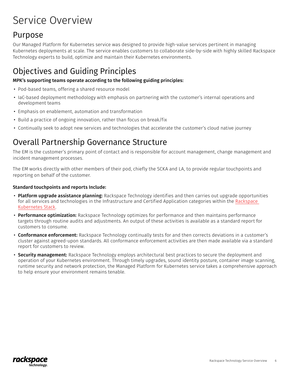## <span id="page-5-0"></span>Service Overview

### Purpose

Our Managed Platform for Kubernetes service was designed to provide high-value services pertinent in managing Kubernetes deployments at scale. The service enables customers to collaborate side-by-side with highly skilled Rackspace Technology experts to build, optimize and maintain their Kubernetes environments.

### Objectives and Guiding Principles

#### MPK's supporting teams operate according to the following guiding principles:

- Pod-based teams, offering a shared resource model
- IaC-based deployment methodology with emphasis on partnering with the customer's internal operations and development teams
- Emphasis on enablement, automation and transformation
- Build a practice of ongoing innovation, rather than focus on break/fix
- Continually seek to adopt new services and technologies that accelerate the customer's cloud native journey

### Overall Partnership Governance Structure

The EM is the customer's primary point of contact and is responsible for account management, change management and incident management processes.

The EM works directly with other members of their pod, chiefly the SCKA and LA, to provide regular touchpoints and reporting on behalf of the customer.

#### Standard touchpoints and reports Include:

- Platform upgrade assistance planning: Rackspace Technology identifies and then carries out upgrade opportunities for all services and technologies in the Infrastructure and Certified Application categories within the [Rackspace](#page-2-0)  [Kubernetes Stack.](#page-2-0)
- Performance optimization: Rackspace Technology optimizes for performance and then maintains performance targets through routine audits and adjustments. An output of these activities is available as a standard report for customers to consume.
- Conformance enforcement: Rackspace Technology continually tests for and then corrects deviations in a customer's cluster against agreed-upon standards. All conformance enforcement activities are then made available via a standard report for customers to review.
- Security management: Rackspace Technology employs architectural best practices to secure the deployment and operation of your Kubernetes environment. Through timely upgrades, sound identity posture, container image scanning, runtime security and network protection, the Managed Platform for Kubernetes service takes a comprehensive approach to help ensure your environment remains tenable.

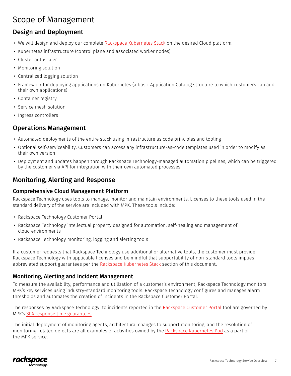### <span id="page-6-0"></span>Scope of Management

### Design and Deployment

- We will design and deploy our complete [Rackspace Kubernetes Stack](#page-2-0) on the desired Cloud platform.
- Kubernetes infrastructure (control plane and associated worker nodes)
- Cluster autoscaler
- Monitoring solution
- Centralized logging solution
- Framework for deploying applications on Kubernetes (a basic Application Catalog structure to which customers can add their own applications)
- Container registry
- Service mesh solution
- Ingress controllers

### Operations Management

- Automated deployments of the entire stack using infrastructure as code principles and tooling
- Optional self-serviceability: Customers can access any infrastructure-as-code templates used in order to modify as their own version
- Deployment and updates happen through Rackspace Technology-managed automation pipelines, which can be triggered by the customer via API for integration with their own automated processes

### Monitoring, Alerting and Response

#### Comprehensive Cloud Management Platform

Rackspace Technology uses tools to manage, monitor and maintain environments. Licenses to these tools used in the standard delivery of the service are included with MPK. These tools include:

- Rackspace Technology Customer Portal
- Rackspace Technology intellectual property designed for automation, self-healing and management of cloud environments
- Rackspace Technology monitoring, logging and alerting tools

If a customer requests that Rackspace Technology use additional or alternative tools, the customer must provide Rackspace Technology with applicable licenses and be mindful that supportability of non-standard tools implies abbreviated support guarantees per the [Rackspace Kubernetes Stack](#page-2-0) section of this document.

#### Monitoring, Alerting and Incident Management

To measure the availability, performance and utilization of a customer's environment, Rackspace Technology monitors MPK's key services using industry-standard monitoring tools. Rackspace Technology configures and manages alarm thresholds and automates the creation of incidents in the Rackspace Customer Portal.

The responses by Rackspace Technology to incidents reported in the [Rackspace Customer Portal](#page-8-0) tool are governed by MPK's [SLA response time](#page-8-0) guarantees.

The initial deployment of monitoring agents, architectural changes to support monitoring, and the resolution of monitoring-related defects are all examples of activities owned by the [Rackspace Kubernetes Pod](#page-4-0) as a part of the MPK service.

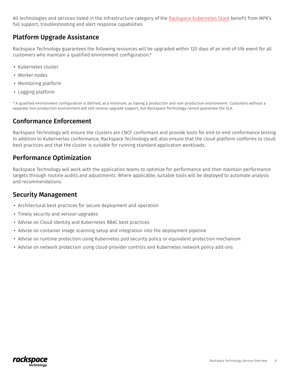<span id="page-7-0"></span>All technologies and services listed in the Infrastructure category of the [Rackspace Kubernetes Stack](#page-2-0) benefit from MPK's full support, troubleshooting and alert response capabilities

### Platform Upgrade Assistance

Rackspace Technology guarantees the following resources will be upgraded within 120 days of an end-of-life event for all customers who maintain a qualified environment configuration.\*

- Kubernetes cluster
- Worker nodes
- Monitoring platform
- Logging platform

\* A qualified environment configuration is defined, at a minimum, as having a production and non-production environment. Customers without a separate non-production environment will still receive upgrade support, but Rackspace Technology cannot guarantee the SLA.

### Conformance Enforcement

Rackspace Technology will ensure the clusters are CNCF conformant and provide tools for end-to-end conformance testing. In addition to Kubernertes conformance, Rackspace Technology will also ensure that the cloud platform conforms to cloud best practices and that the cluster is suitable for running standard application workloads.

### Performance Optimization

Rackspace Technology will work with the application teams to optimize for performance and then maintain performance targets through routine audits and adjustments. Where applicable, suitable tools will be deployed to automate analysis and recommendations.

### Security Management

- Architectural best practices for secure deployment and operation
- Timely security and version upgrades
- Advise on Cloud Identity and Kubernetes RBAC best practices
- Advise on container image scanning setup and integration into the deployment pipeline
- Advise on runtime protection using Kubernetes pod security policy or equivalent protection mechanism
- Advise on network protection using cloud-provider controls and Kubernetes network policy add-ons

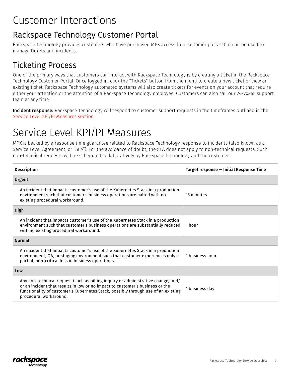## <span id="page-8-0"></span>Customer Interactions

### Rackspace Technology Customer Portal

Rackspace Technology provides customers who have purchased MPK access to a customer portal that can be used to manage tickets and incidents.

### Ticketing Process

One of the primary ways that customers can interact with Rackspace Technology is by creating a ticket in the Rackspace Technology Customer Portal. Once logged in, click the "Tickets" button from the menu to create a new ticket or view an existing ticket. Rackspace Technology automated systems will also create tickets for events on your account that require either your attention or the attention of a Rackspace Technology employee. Customers can also call our 24x7x365 support team at any time.

Incident response: Rackspace Technology will respond to customer support requests in the timeframes outlined in the Service Level KPI/PI Measures section.

## Service Level KPI/PI Measures

MPK is backed by a response time guarantee related to Rackspace Technology response to incidents (also known as a Service Level Agreement, or "SLA"). For the avoidance of doubt, the SLA does not apply to non-technical requests. Such non-technical requests will be scheduled collaboratively by Rackspace Technology and the customer.

| <b>Description</b>                                                                                                                                                                                                                                                                | Target response - Initial Response Time |  |  |  |
|-----------------------------------------------------------------------------------------------------------------------------------------------------------------------------------------------------------------------------------------------------------------------------------|-----------------------------------------|--|--|--|
| Urgent                                                                                                                                                                                                                                                                            |                                         |  |  |  |
| An incident that impacts customer's use of the Kubernetes Stack in a production<br>environment such that customer's business operations are halted with no<br>existing procedural workaround.                                                                                     | 15 minutes                              |  |  |  |
| High                                                                                                                                                                                                                                                                              |                                         |  |  |  |
| An incident that impacts customer's use of the Kubernetes Stack in a production<br>environment such that customer's business operations are substantially reduced<br>with no existing procedural workaround.                                                                      | 1 hour                                  |  |  |  |
| <b>Normal</b>                                                                                                                                                                                                                                                                     |                                         |  |  |  |
| An incident that impacts customer's use of the Kubernetes Stack in a production<br>environment, QA, or staging environment such that customer experiences only a<br>partial, non-critical loss in business operations.                                                            | 1 business hour                         |  |  |  |
| Low                                                                                                                                                                                                                                                                               |                                         |  |  |  |
| Any non-technical request (such as billing inquiry or administrative change) and/<br>or an incident that results in low or no impact to customer's business or the<br>functionality of customer's Kubernetes Stack, possibly through use of an existing<br>procedural workaround. | 1 business day                          |  |  |  |